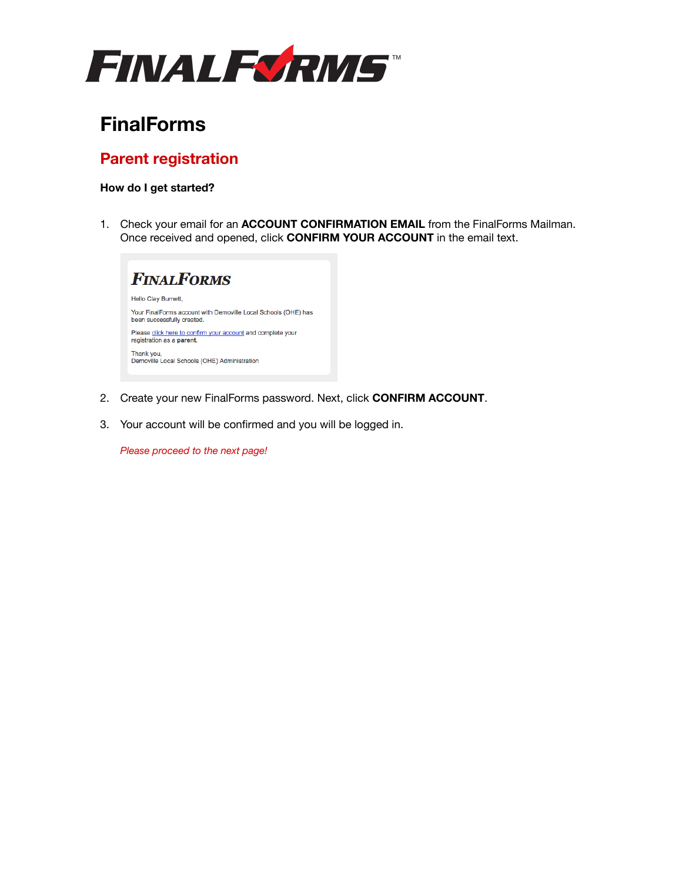

# **FinalForms**

# **Parent registration**

## **How do I get started?**

1. Check your email for an **ACCOUNT CONFIRMATION EMAIL** from the FinalForms Mailman. Once received and opened, click **CONFIRM YOUR ACCOUNT** in the email text.



- 2. Create your new FinalForms password. Next, click **CONFIRM ACCOUNT**.
- 3. Your account will be confirmed and you will be logged in.

*Please proceed to the next page!*